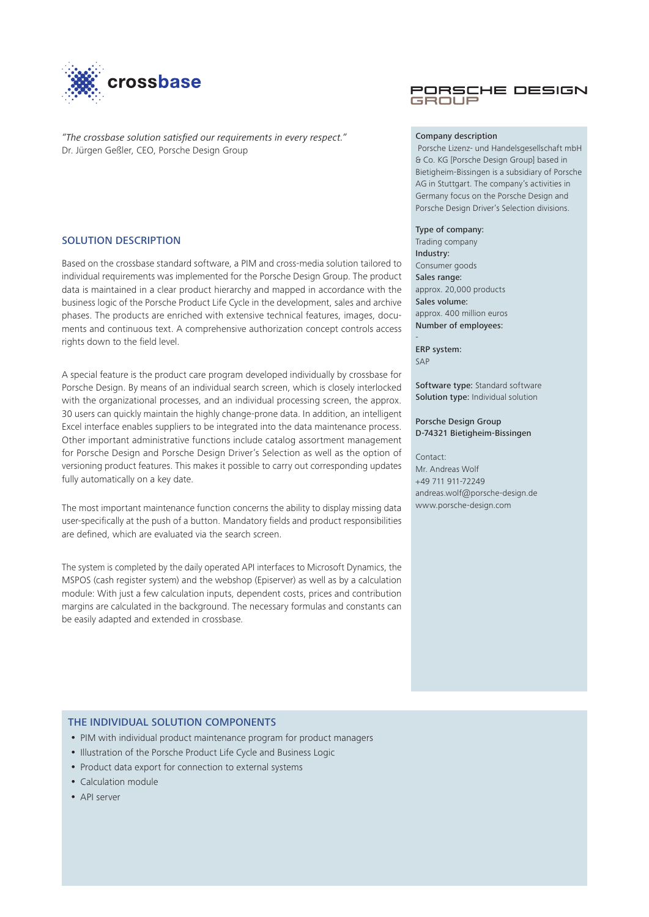

*"The crossbase solution satisfied our requirements in every respect."* Dr. Jürgen Geßler, CEO, Porsche Design Group

# SOLUTION DESCRIPTION

Based on the crossbase standard software, a PIM and cross-media solution tailored to individual requirements was implemented for the Porsche Design Group. The product data is maintained in a clear product hierarchy and mapped in accordance with the business logic of the Porsche Product Life Cycle in the development, sales and archive phases. The products are enriched with extensive technical features, images, documents and continuous text. A comprehensive authorization concept controls access rights down to the field level.

A special feature is the product care program developed individually by crossbase for Porsche Design. By means of an individual search screen, which is closely interlocked with the organizational processes, and an individual processing screen, the approx. 30 users can quickly maintain the highly change-prone data. In addition, an intelligent Excel interface enables suppliers to be integrated into the data maintenance process. Other important administrative functions include catalog assortment management for Porsche Design and Porsche Design Driver's Selection as well as the option of versioning product features. This makes it possible to carry out corresponding updates fully automatically on a key date.

The most important maintenance function concerns the ability to display missing data user-specifically at the push of a button. Mandatory fields and product responsibilities are defined, which are evaluated via the search screen.

The system is completed by the daily operated API interfaces to Microsoft Dynamics, the MSPOS (cash register system) and the webshop (Episerver) as well as by a calculation module: With just a few calculation inputs, dependent costs, prices and contribution margins are calculated in the background. The necessary formulas and constants can be easily adapted and extended in crossbase.

## PORSCHE DESIGN GROUP

## Company description

 Porsche Lizenz- und Handelsgesellschaft mbH & Co. KG [Porsche Design Group] based in Bietigheim-Bissingen is a subsidiary of Porsche AG in Stuttgart. The company's activities in Germany focus on the Porsche Design and Porsche Design Driver's Selection divisions.

### Type of company:

Trading company Industry: Consumer goods Sales range: approx. 20,000 products Sales volume: approx. 400 million euros Number of employees:

ERP system:  $S\Delta P$ 

-

Software type: Standard software Solution type: Individual solution

## Porsche Design Group D-74321 Bietigheim-Bissingen

Contact: Mr. Andreas Wolf +49 711 911-72249 andreas.wolf@porsche-design.de www.porsche-design.com

# THE INDIVIDUAL SOLUTION COMPONENTS

- PIM with individual product maintenance program for product managers
- Illustration of the Porsche Product Life Cycle and Business Logic
- Product data export for connection to external systems
- Calculation module
- API server